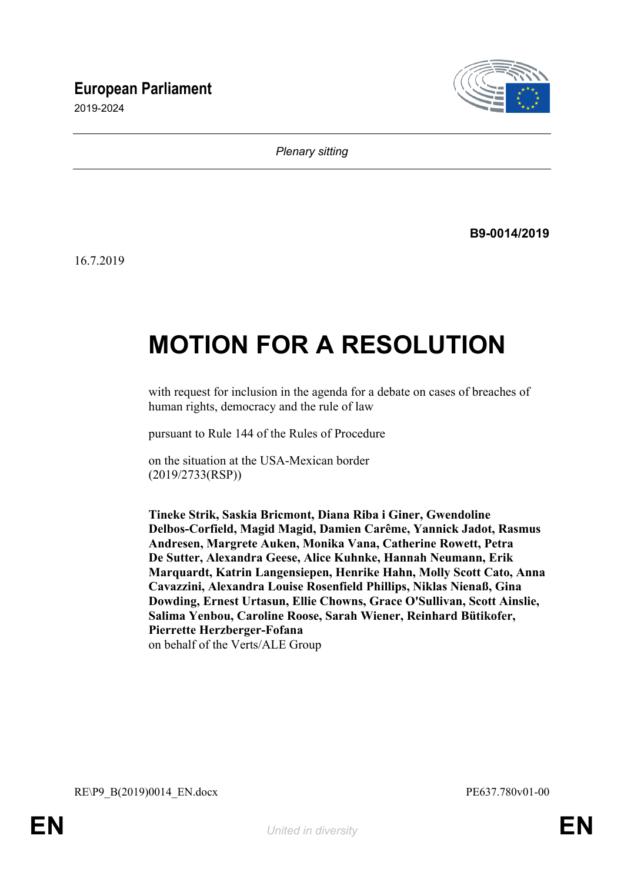# **European Parliament**

2019-2024



*Plenary sitting*

**B9-0014/2019**

16.7.2019

# **MOTION FOR A RESOLUTION**

with request for inclusion in the agenda for a debate on cases of breaches of human rights, democracy and the rule of law

pursuant to Rule 144 of the Rules of Procedure

on the situation at the USA-Mexican border (2019/2733(RSP))

**Tineke Strik, Saskia Bricmont, Diana Riba i Giner, Gwendoline Delbos-Corfield, Magid Magid, Damien Carême, Yannick Jadot, Rasmus Andresen, Margrete Auken, Monika Vana, Catherine Rowett, Petra De Sutter, Alexandra Geese, Alice Kuhnke, Hannah Neumann, Erik Marquardt, Katrin Langensiepen, Henrike Hahn, Molly Scott Cato, Anna Cavazzini, Alexandra Louise Rosenfield Phillips, Niklas Nienaß, Gina Dowding, Ernest Urtasun, Ellie Chowns, Grace O'Sullivan, Scott Ainslie, Salima Yenbou, Caroline Roose, Sarah Wiener, Reinhard Bütikofer, Pierrette Herzberger-Fofana** on behalf of the Verts/ALE Group

<span id="page-0-1"></span><span id="page-0-0"></span>RE\P9\_B(2019)0014\_EN.docx PE637.780v01-00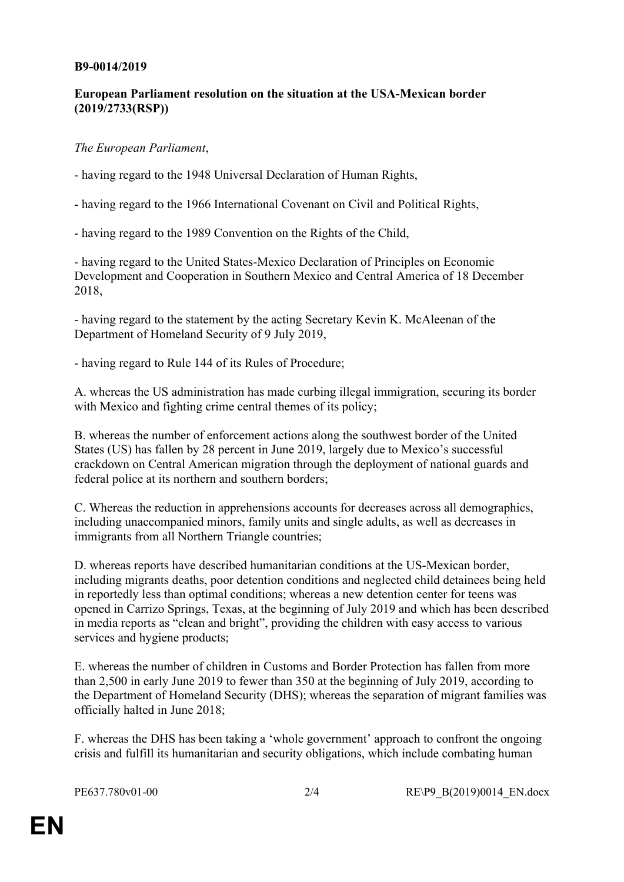#### **B9-0014/2019**

## **European Parliament resolution on the situation at the USA-Mexican border (2019/2733(RSP))**

### *The European Parliament*,

- having regard to the 1948 Universal Declaration of Human Rights,

- having regard to the 1966 International Covenant on Civil and Political Rights,

- having regard to the 1989 Convention on the Rights of the Child,

- having regard to the United States-Mexico Declaration of Principles on Economic Development and Cooperation in Southern Mexico and Central America of 18 December 2018,

- having regard to the statement by the acting Secretary Kevin K. McAleenan of the Department of Homeland Security of 9 July 2019,

- having regard to Rule 144 of its Rules of Procedure;

A. whereas the US administration has made curbing illegal immigration, securing its border with Mexico and fighting crime central themes of its policy;

B. whereas the number of enforcement actions along the southwest border of the United States (US) has fallen by 28 percent in June 2019, largely due to Mexico's successful crackdown on Central American migration through the deployment of national guards and federal police at its northern and southern borders;

C. Whereas the reduction in apprehensions accounts for decreases across all demographics, including unaccompanied minors, family units and single adults, as well as decreases in immigrants from all Northern Triangle countries;

D. whereas reports have described humanitarian conditions at the US-Mexican border, including migrants deaths, poor detention conditions and neglected child detainees being held in reportedly less than optimal conditions; whereas a new detention center for teens was opened in Carrizo Springs, Texas, at the beginning of July 2019 and which has been described in media reports as "clean and bright", providing the children with easy access to various services and hygiene products;

E. whereas the number of children in Customs and Border Protection has fallen from more than 2,500 in early June 2019 to fewer than 350 at the beginning of July 2019, according to the Department of Homeland Security (DHS); whereas the separation of migrant families was officially halted in June 2018;

F. whereas the DHS has been taking a 'whole government' approach to confront the ongoing crisis and fulfill its humanitarian and security obligations, which include combating human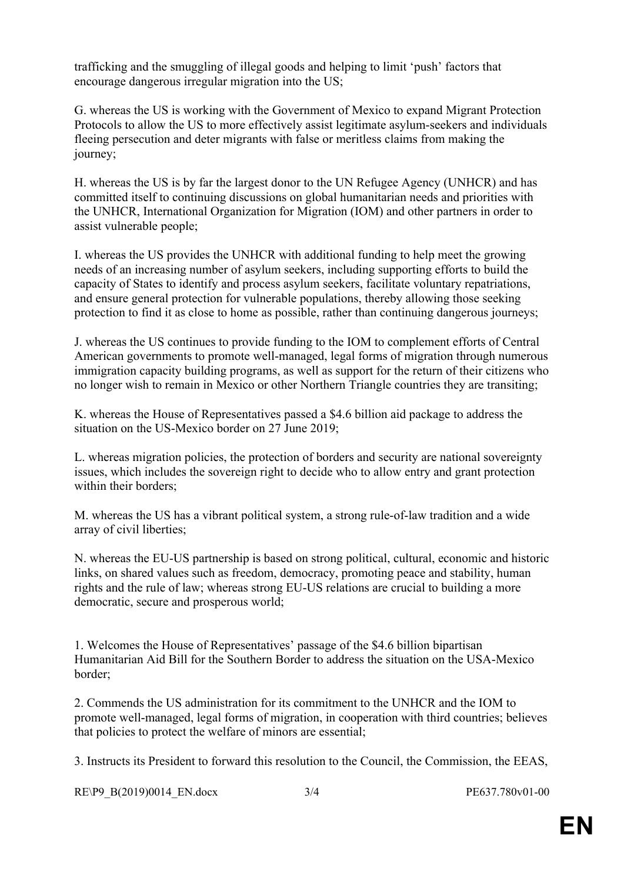trafficking and the smuggling of illegal goods and helping to limit 'push' factors that encourage dangerous irregular migration into the US;

G. whereas the US is working with the Government of Mexico to expand Migrant Protection Protocols to allow the US to more effectively assist legitimate asylum-seekers and individuals fleeing persecution and deter migrants with false or meritless claims from making the journey;

H. whereas the US is by far the largest donor to the UN Refugee Agency (UNHCR) and has committed itself to continuing discussions on global humanitarian needs and priorities with the UNHCR, International Organization for Migration (IOM) and other partners in order to assist vulnerable people;

I. whereas the US provides the UNHCR with additional funding to help meet the growing needs of an increasing number of asylum seekers, including supporting efforts to build the capacity of States to identify and process asylum seekers, facilitate voluntary repatriations, and ensure general protection for vulnerable populations, thereby allowing those seeking protection to find it as close to home as possible, rather than continuing dangerous journeys;

J. whereas the US continues to provide funding to the IOM to complement efforts of Central American governments to promote well-managed, legal forms of migration through numerous immigration capacity building programs, as well as support for the return of their citizens who no longer wish to remain in Mexico or other Northern Triangle countries they are transiting;

K. whereas the House of Representatives passed a \$4.6 billion aid package to address the situation on the US-Mexico border on 27 June 2019;

L. whereas migration policies, the protection of borders and security are national sovereignty issues, which includes the sovereign right to decide who to allow entry and grant protection within their borders;

M. whereas the US has a vibrant political system, a strong rule-of-law tradition and a wide array of civil liberties;

N. whereas the EU-US partnership is based on strong political, cultural, economic and historic links, on shared values such as freedom, democracy, promoting peace and stability, human rights and the rule of law; whereas strong EU-US relations are crucial to building a more democratic, secure and prosperous world;

1. Welcomes the House of Representatives' passage of the \$4.6 billion bipartisan Humanitarian Aid Bill for the Southern Border to address the situation on the USA-Mexico border;

2. Commends the US administration for its commitment to the UNHCR and the IOM to promote well-managed, legal forms of migration, in cooperation with third countries; believes that policies to protect the welfare of minors are essential;

3. Instructs its President to forward this resolution to the Council, the Commission, the EEAS,

[RE\P9\\_B\(2019\)0014\\_EN.docx](#page-0-1) 3/4 [PE637.780v01-00](#page-0-0)